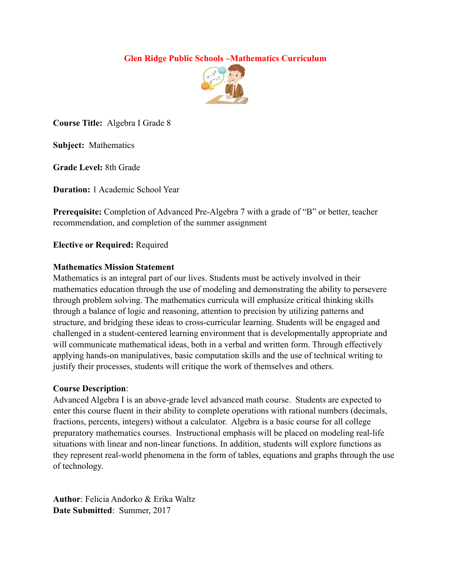# **Glen Ridge Public Schools –Mathematics Curriculum**



**Course Title:** Algebra I Grade 8

**Subject:** Mathematics

**Grade Level:** 8th Grade

**Duration:** 1 Academic School Year

**Prerequisite:** Completion of Advanced Pre-Algebra 7 with a grade of "B" or better, teacher recommendation, and completion of the summer assignment

### **Elective or Required:** Required

### **Mathematics Mission Statement**

Mathematics is an integral part of our lives. Students must be actively involved in their mathematics education through the use of modeling and demonstrating the ability to persevere through problem solving. The mathematics curricula will emphasize critical thinking skills through a balance of logic and reasoning, attention to precision by utilizing patterns and structure, and bridging these ideas to cross-curricular learning. Students will be engaged and challenged in a student-centered learning environment that is developmentally appropriate and will communicate mathematical ideas, both in a verbal and written form. Through effectively applying hands-on manipulatives, basic computation skills and the use of technical writing to justify their processes, students will critique the work of themselves and others.

# **Course Description**:

Advanced Algebra I is an above-grade level advanced math course. Students are expected to enter this course fluent in their ability to complete operations with rational numbers (decimals, fractions, percents, integers) without a calculator. Algebra is a basic course for all college preparatory mathematics courses. Instructional emphasis will be placed on modeling real-life situations with linear and non-linear functions. In addition, students will explore functions as they represent real-world phenomena in the form of tables, equations and graphs through the use of technology.

**Author**: Felicia Andorko & Erika Waltz **Date Submitted**: Summer, 2017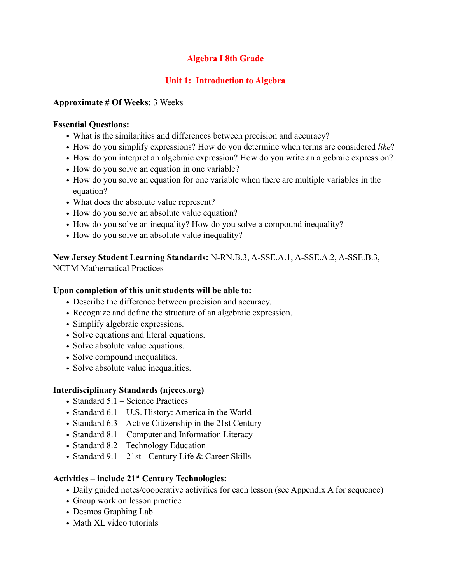# **Algebra I 8th Grade**

# **Unit 1: Introduction to Algebra**

### **Approximate # Of Weeks:** 3 Weeks

### **Essential Questions:**

- What is the similarities and differences between precision and accuracy?
- How do you simplify expressions? How do you determine when terms are considered *like*?
- How do you interpret an algebraic expression? How do you write an algebraic expression?
- How do you solve an equation in one variable?
- How do you solve an equation for one variable when there are multiple variables in the equation?
- What does the absolute value represent?
- How do you solve an absolute value equation?
- How do you solve an inequality? How do you solve a compound inequality?
- How do you solve an absolute value inequality?

**New Jersey Student Learning Standards:** N-RN.B.3, A-SSE.A.1, A-SSE.A.2, A-SSE.B.3, NCTM Mathematical Practices

## **Upon completion of this unit students will be able to:**

- Describe the difference between precision and accuracy.
- Recognize and define the structure of an algebraic expression.
- Simplify algebraic expressions.
- Solve equations and literal equations.
- Solve absolute value equations.
- Solve compound inequalities.
- Solve absolute value inequalities.

# **Interdisciplinary Standards (njcccs.org)**

- Standard 5.1 Science Practices
- Standard 6.1 U.S. History: America in the World
- Standard 6.3 Active Citizenship in the 21st Century
- Standard 8.1 Computer and Information Literacy
- Standard 8.2 Technology Education
- Standard 9.1 21st Century Life & Career Skills

# **Activities – include 21st Century Technologies:**

- Daily guided notes/cooperative activities for each lesson (see Appendix A for sequence)
- Group work on lesson practice
- Desmos Graphing Lab
- Math XL video tutorials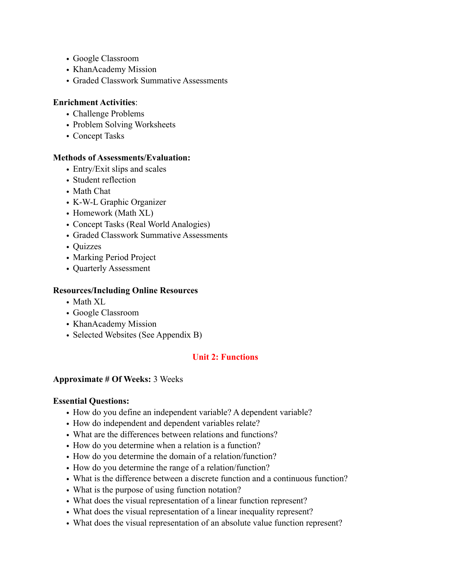- Google Classroom
- KhanAcademy Mission
- Graded Classwork Summative Assessments

### **Enrichment Activities**:

- Challenge Problems
- Problem Solving Worksheets
- Concept Tasks

### **Methods of Assessments/Evaluation:**

- Entry/Exit slips and scales
- Student reflection
- Math Chat
- K-W-L Graphic Organizer
- Homework (Math XL)
- Concept Tasks (Real World Analogies)
- Graded Classwork Summative Assessments
- Quizzes
- Marking Period Project
- Quarterly Assessment

### **Resources/Including Online Resources**

- Math XL
- Google Classroom
- KhanAcademy Mission
- Selected Websites (See Appendix B)

# **Unit 2: Functions**

### **Approximate # Of Weeks:** 3 Weeks

### **Essential Questions:**

- How do you define an independent variable? A dependent variable?
- How do independent and dependent variables relate?
- What are the differences between relations and functions?
- How do you determine when a relation is a function?
- How do you determine the domain of a relation/function?
- How do you determine the range of a relation/function?
- What is the difference between a discrete function and a continuous function?
- What is the purpose of using function notation?
- What does the visual representation of a linear function represent?
- What does the visual representation of a linear inequality represent?
- What does the visual representation of an absolute value function represent?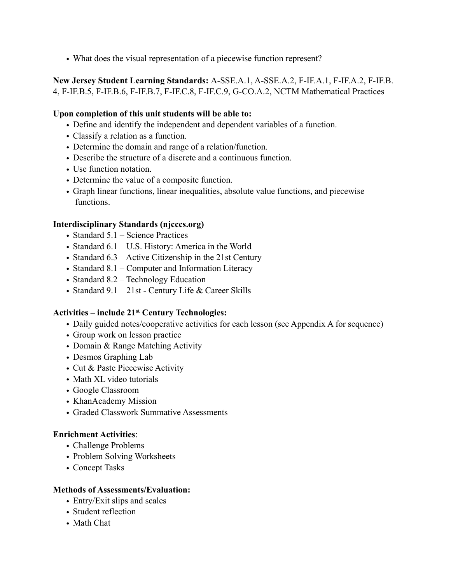• What does the visual representation of a piecewise function represent?

**New Jersey Student Learning Standards:** A-SSE.A.1, A-SSE.A.2, F-IF.A.1, F-IF.A.2, F-IF.B. 4, F-IF.B.5, F-IF.B.6, F-IF.B.7, F-IF.C.8, F-IF.C.9, G-CO.A.2, NCTM Mathematical Practices

## **Upon completion of this unit students will be able to:**

- Define and identify the independent and dependent variables of a function.
- Classify a relation as a function.
- Determine the domain and range of a relation/function.
- Describe the structure of a discrete and a continuous function.
- Use function notation.
- Determine the value of a composite function.
- Graph linear functions, linear inequalities, absolute value functions, and piecewise functions.

### **Interdisciplinary Standards (njcccs.org)**

- Standard 5.1 Science Practices
- Standard 6.1 U.S. History: America in the World
- Standard 6.3 Active Citizenship in the 21st Century
- Standard 8.1 Computer and Information Literacy
- Standard 8.2 Technology Education
- Standard  $9.1 21$ st Century Life & Career Skills

### **Activities – include 21st Century Technologies:**

- Daily guided notes/cooperative activities for each lesson (see Appendix A for sequence)
- Group work on lesson practice
- Domain & Range Matching Activity
- Desmos Graphing Lab
- Cut & Paste Piecewise Activity
- Math XL video tutorials
- Google Classroom
- KhanAcademy Mission
- Graded Classwork Summative Assessments

### **Enrichment Activities**:

- Challenge Problems
- Problem Solving Worksheets
- Concept Tasks

### **Methods of Assessments/Evaluation:**

- Entry/Exit slips and scales
- Student reflection
- Math Chat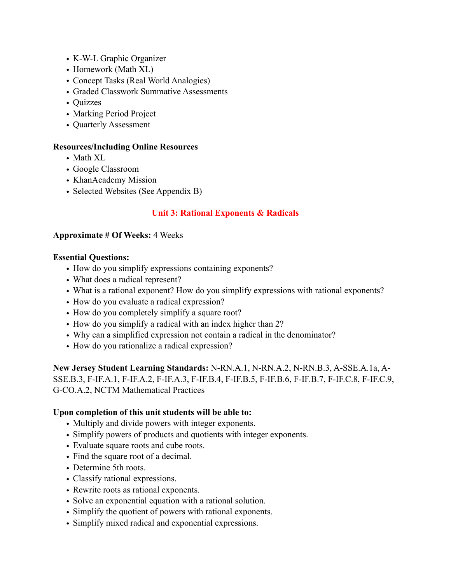- K-W-L Graphic Organizer
- Homework (Math XL)
- Concept Tasks (Real World Analogies)
- Graded Classwork Summative Assessments
- Quizzes
- Marking Period Project
- Quarterly Assessment

### **Resources/Including Online Resources**

- Math XL
- Google Classroom
- KhanAcademy Mission
- Selected Websites (See Appendix B)

# **Unit 3: Rational Exponents & Radicals**

#### **Approximate # Of Weeks:** 4 Weeks

#### **Essential Questions:**

- How do you simplify expressions containing exponents?
- What does a radical represent?
- What is a rational exponent? How do you simplify expressions with rational exponents?
- How do you evaluate a radical expression?
- How do you completely simplify a square root?
- How do you simplify a radical with an index higher than 2?
- Why can a simplified expression not contain a radical in the denominator?
- How do you rationalize a radical expression?

**New Jersey Student Learning Standards:** N-RN.A.1, N-RN.A.2, N-RN.B.3, A-SSE.A.1a, A-SSE.B.3, F-IF.A.1, F-IF.A.2, F-IF.A.3, F-IF.B.4, F-IF.B.5, F-IF.B.6, F-IF.B.7, F-IF.C.8, F-IF.C.9, G-CO.A.2, NCTM Mathematical Practices

### **Upon completion of this unit students will be able to:**

- Multiply and divide powers with integer exponents.
- Simplify powers of products and quotients with integer exponents.
- Evaluate square roots and cube roots.
- Find the square root of a decimal.
- Determine 5th roots.
- Classify rational expressions.
- Rewrite roots as rational exponents.
- Solve an exponential equation with a rational solution.
- Simplify the quotient of powers with rational exponents.
- Simplify mixed radical and exponential expressions.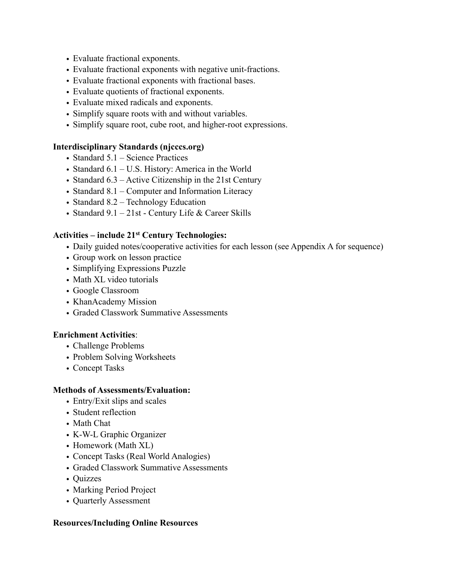- Evaluate fractional exponents.
- Evaluate fractional exponents with negative unit-fractions.
- Evaluate fractional exponents with fractional bases.
- Evaluate quotients of fractional exponents.
- Evaluate mixed radicals and exponents.
- Simplify square roots with and without variables.
- Simplify square root, cube root, and higher-root expressions.

### **Interdisciplinary Standards (njcccs.org)**

- Standard 5.1 Science Practices
- Standard 6.1 U.S. History: America in the World
- Standard 6.3 Active Citizenship in the 21st Century
- Standard 8.1 Computer and Information Literacy
- Standard 8.2 Technology Education
- Standard 9.1 21st Century Life & Career Skills

### **Activities – include 21st Century Technologies:**

- Daily guided notes/cooperative activities for each lesson (see Appendix A for sequence)
- Group work on lesson practice
- Simplifying Expressions Puzzle
- Math XL video tutorials
- Google Classroom
- KhanAcademy Mission
- Graded Classwork Summative Assessments

### **Enrichment Activities**:

- Challenge Problems
- Problem Solving Worksheets
- Concept Tasks

### **Methods of Assessments/Evaluation:**

- Entry/Exit slips and scales
- Student reflection
- Math Chat
- K-W-L Graphic Organizer
- Homework (Math XL)
- Concept Tasks (Real World Analogies)
- Graded Classwork Summative Assessments
- Quizzes
- Marking Period Project
- Quarterly Assessment

### **Resources/Including Online Resources**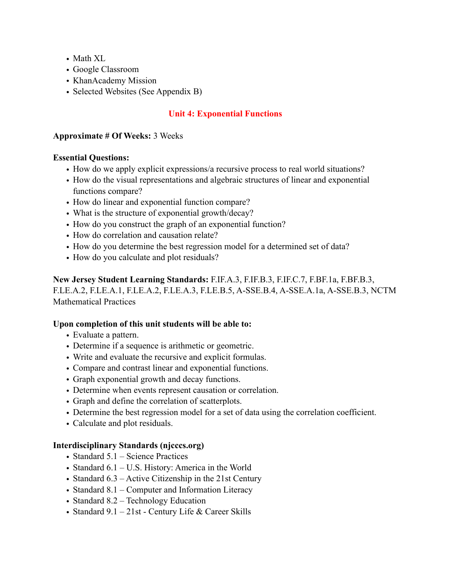- Math XL
- Google Classroom
- KhanAcademy Mission
- Selected Websites (See Appendix B)

# **Unit 4: Exponential Functions**

## **Approximate # Of Weeks:** 3 Weeks

### **Essential Questions:**

- How do we apply explicit expressions/a recursive process to real world situations?
- How do the visual representations and algebraic structures of linear and exponential functions compare?
- How do linear and exponential function compare?
- What is the structure of exponential growth/decay?
- How do you construct the graph of an exponential function?
- How do correlation and causation relate?
- How do you determine the best regression model for a determined set of data?
- How do you calculate and plot residuals?

**New Jersey Student Learning Standards:** F.IF.A.3, F.IF.B.3, F.IF.C.7, F.BF.1a, F.BF.B.3, F.LE.A.2, F.LE.A.1, F.LE.A.2, F.LE.A.3, F.LE.B.5, A-SSE.B.4, A-SSE.A.1a, A-SSE.B.3, NCTM Mathematical Practices

# **Upon completion of this unit students will be able to:**

- Evaluate a pattern.
- Determine if a sequence is arithmetic or geometric.
- Write and evaluate the recursive and explicit formulas.
- Compare and contrast linear and exponential functions.
- Graph exponential growth and decay functions.
- Determine when events represent causation or correlation.
- Graph and define the correlation of scatterplots.
- Determine the best regression model for a set of data using the correlation coefficient.
- Calculate and plot residuals.

# **Interdisciplinary Standards (njcccs.org)**

- Standard 5.1 Science Practices
- Standard 6.1 U.S. History: America in the World
- Standard 6.3 Active Citizenship in the 21st Century
- Standard 8.1 Computer and Information Literacy
- Standard 8.2 Technology Education
- Standard  $9.1 21$ st Century Life & Career Skills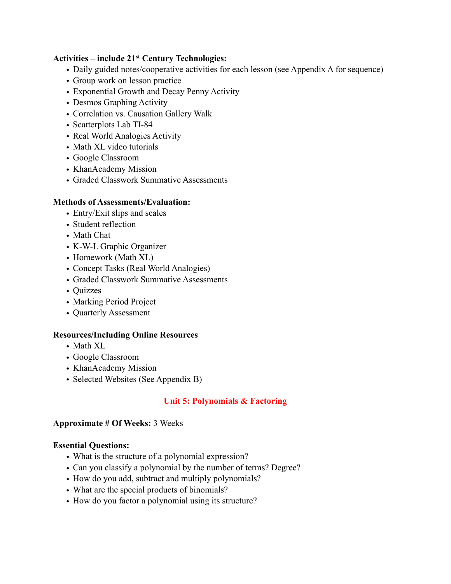## **Activities – include 21st Century Technologies:**

- Daily guided notes/cooperative activities for each lesson (see Appendix A for sequence)
- Group work on lesson practice
- Exponential Growth and Decay Penny Activity
- Desmos Graphing Activity
- Correlation vs. Causation Gallery Walk
- Scatterplots Lab TI-84
- Real World Analogies Activity
- Math XL video tutorials
- Google Classroom
- KhanAcademy Mission
- Graded Classwork Summative Assessments

### **Methods of Assessments/Evaluation:**

- Entry/Exit slips and scales
- Student reflection
- Math Chat
- K-W-L Graphic Organizer
- Homework (Math XL)
- Concept Tasks (Real World Analogies)
- Graded Classwork Summative Assessments
- Quizzes
- Marking Period Project
- Quarterly Assessment

### **Resources/Including Online Resources**

- Math XL
- Google Classroom
- KhanAcademy Mission
- Selected Websites (See Appendix B)

# **Unit 5: Polynomials & Factoring**

### **Approximate # Of Weeks:** 3 Weeks

### **Essential Questions:**

- What is the structure of a polynomial expression?
- Can you classify a polynomial by the number of terms? Degree?
- How do you add, subtract and multiply polynomials?
- What are the special products of binomials?
- How do you factor a polynomial using its structure?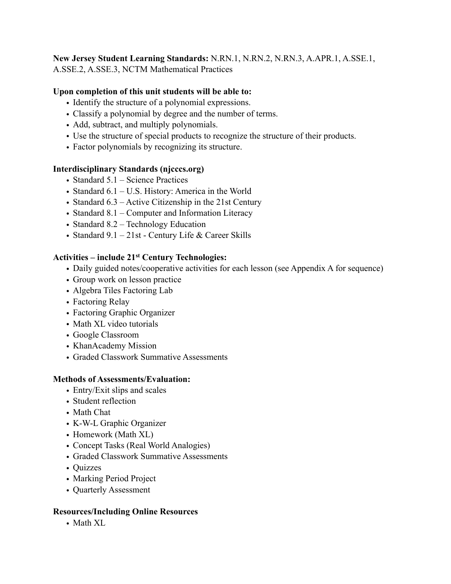### **New Jersey Student Learning Standards:** N.RN.1, N.RN.2, N.RN.3, A.APR.1, A.SSE.1, A.SSE.2, A.SSE.3, NCTM Mathematical Practices

# **Upon completion of this unit students will be able to:**

- Identify the structure of a polynomial expressions.
- Classify a polynomial by degree and the number of terms.
- Add, subtract, and multiply polynomials.
- Use the structure of special products to recognize the structure of their products.
- Factor polynomials by recognizing its structure.

# **Interdisciplinary Standards (njcccs.org)**

- Standard 5.1 Science Practices
- Standard 6.1 U.S. History: America in the World
- Standard 6.3 Active Citizenship in the 21st Century
- Standard 8.1 Computer and Information Literacy
- Standard 8.2 Technology Education
- Standard 9.1 21st Century Life & Career Skills

# **Activities – include 21st Century Technologies:**

- Daily guided notes/cooperative activities for each lesson (see Appendix A for sequence)
- Group work on lesson practice
- Algebra Tiles Factoring Lab
- Factoring Relay
- Factoring Graphic Organizer
- Math XL video tutorials
- Google Classroom
- KhanAcademy Mission
- Graded Classwork Summative Assessments

# **Methods of Assessments/Evaluation:**

- Entry/Exit slips and scales
- Student reflection
- Math Chat
- K-W-L Graphic Organizer
- Homework (Math XL)
- Concept Tasks (Real World Analogies)
- Graded Classwork Summative Assessments
- Quizzes
- Marking Period Project
- Quarterly Assessment

# **Resources/Including Online Resources**

• Math XL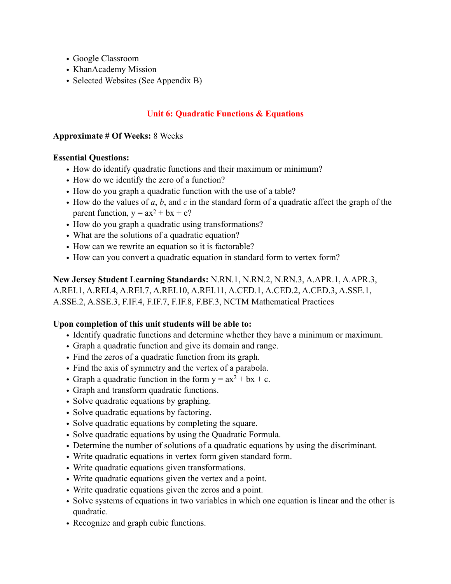- Google Classroom
- KhanAcademy Mission
- Selected Websites (See Appendix B)

# **Unit 6: Quadratic Functions & Equations**

### **Approximate # Of Weeks:** 8 Weeks

### **Essential Questions:**

- How do identify quadratic functions and their maximum or minimum?
- How do we identify the zero of a function?
- How do you graph a quadratic function with the use of a table?
- How do the values of *a*, *b*, and *c* in the standard form of a quadratic affect the graph of the parent function,  $y = ax^2 + bx + c$ ?
- How do you graph a quadratic using transformations?
- What are the solutions of a quadratic equation?
- How can we rewrite an equation so it is factorable?
- How can you convert a quadratic equation in standard form to vertex form?

**New Jersey Student Learning Standards:** N.RN.1, N.RN.2, N.RN.3, A.APR.1, A.APR.3, A.REI.1, A.REI.4, A.REI.7, A.REI.10, A.REI.11, A.CED.1, A.CED.2, A.CED.3, A.SSE.1, A.SSE.2, A.SSE.3, F.IF.4, F.IF.7, F.IF.8, F.BF.3, NCTM Mathematical Practices

# **Upon completion of this unit students will be able to:**

- Identify quadratic functions and determine whether they have a minimum or maximum.
- Graph a quadratic function and give its domain and range.
- Find the zeros of a quadratic function from its graph.
- Find the axis of symmetry and the vertex of a parabola.
- Graph a quadratic function in the form  $y = ax^2 + bx + c$ .
- Graph and transform quadratic functions.
- Solve quadratic equations by graphing.
- Solve quadratic equations by factoring.
- Solve quadratic equations by completing the square.
- Solve quadratic equations by using the Quadratic Formula.
- Determine the number of solutions of a quadratic equations by using the discriminant.
- Write quadratic equations in vertex form given standard form.
- Write quadratic equations given transformations.
- Write quadratic equations given the vertex and a point.
- Write quadratic equations given the zeros and a point.
- Solve systems of equations in two variables in which one equation is linear and the other is quadratic.
- Recognize and graph cubic functions.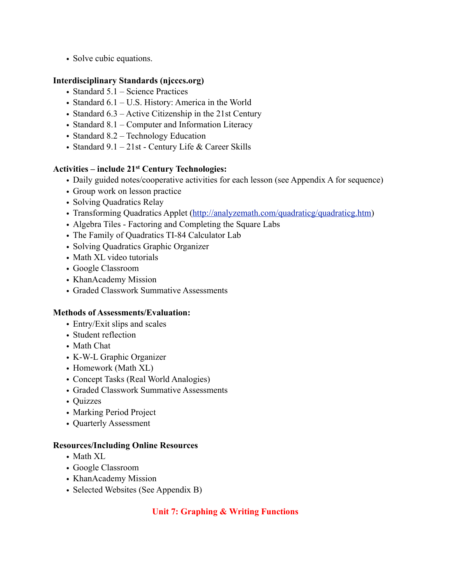• Solve cubic equations.

# **Interdisciplinary Standards (njcccs.org)**

- Standard 5.1 Science Practices
- Standard 6.1 U.S. History: America in the World
- Standard 6.3 Active Citizenship in the 21st Century
- Standard 8.1 Computer and Information Literacy
- Standard 8.2 Technology Education
- Standard  $9.1 21$ st Century Life & Career Skills

### **Activities – include 21st Century Technologies:**

- Daily guided notes/cooperative activities for each lesson (see Appendix A for sequence)
- Group work on lesson practice
- Solving Quadratics Relay
- Transforming Quadratics Applet (<http://analyzemath.com/quadraticg/quadraticg.htm>)
- Algebra Tiles Factoring and Completing the Square Labs
- The Family of Quadratics TI-84 Calculator Lab
- Solving Quadratics Graphic Organizer
- Math XL video tutorials
- Google Classroom
- KhanAcademy Mission
- Graded Classwork Summative Assessments

### **Methods of Assessments/Evaluation:**

- Entry/Exit slips and scales
- Student reflection
- Math Chat
- K-W-L Graphic Organizer
- Homework (Math XL)
- Concept Tasks (Real World Analogies)
- Graded Classwork Summative Assessments
- Quizzes
- Marking Period Project
- Quarterly Assessment

### **Resources/Including Online Resources**

- Math XL
- Google Classroom
- KhanAcademy Mission
- Selected Websites (See Appendix B)

# **Unit 7: Graphing & Writing Functions**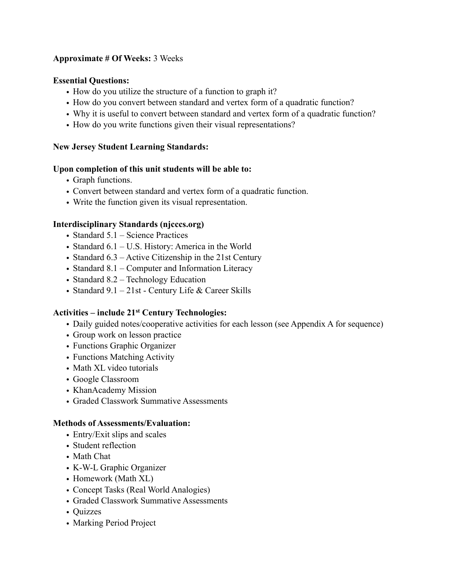# **Approximate # Of Weeks:** 3 Weeks

### **Essential Questions:**

- How do you utilize the structure of a function to graph it?
- How do you convert between standard and vertex form of a quadratic function?
- Why it is useful to convert between standard and vertex form of a quadratic function?
- How do you write functions given their visual representations?

# **New Jersey Student Learning Standards:**

# **Upon completion of this unit students will be able to:**

- Graph functions.
- Convert between standard and vertex form of a quadratic function.
- Write the function given its visual representation.

# **Interdisciplinary Standards (njcccs.org)**

- Standard 5.1 Science Practices
- Standard 6.1 U.S. History: America in the World
- Standard 6.3 Active Citizenship in the 21st Century
- Standard 8.1 Computer and Information Literacy
- Standard 8.2 Technology Education
- Standard  $9.1 21$ st Century Life & Career Skills

# **Activities – include 21st Century Technologies:**

- Daily guided notes/cooperative activities for each lesson (see Appendix A for sequence)
- Group work on lesson practice
- Functions Graphic Organizer
- Functions Matching Activity
- Math XL video tutorials
- Google Classroom
- KhanAcademy Mission
- Graded Classwork Summative Assessments

# **Methods of Assessments/Evaluation:**

- Entry/Exit slips and scales
- Student reflection
- Math Chat
- K-W-L Graphic Organizer
- Homework (Math XL)
- Concept Tasks (Real World Analogies)
- Graded Classwork Summative Assessments
- Quizzes
- Marking Period Project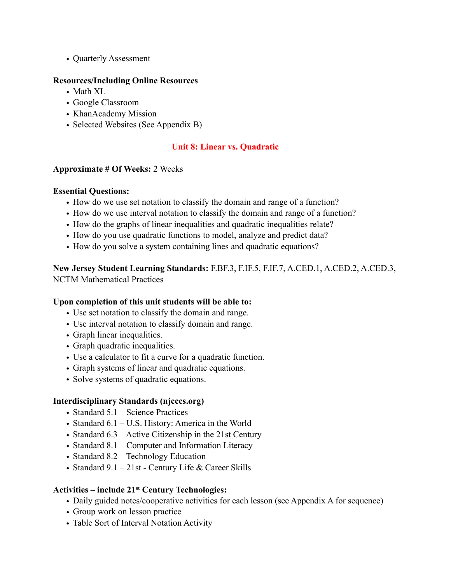• Quarterly Assessment

### **Resources/Including Online Resources**

- Math XL
- Google Classroom
- KhanAcademy Mission
- Selected Websites (See Appendix B)

# **Unit 8: Linear vs. Quadratic**

### **Approximate # Of Weeks:** 2 Weeks

### **Essential Questions:**

- How do we use set notation to classify the domain and range of a function?
- How do we use interval notation to classify the domain and range of a function?
- How do the graphs of linear inequalities and quadratic inequalities relate?
- How do you use quadratic functions to model, analyze and predict data?
- How do you solve a system containing lines and quadratic equations?

**New Jersey Student Learning Standards:** F.BF.3, F.IF.5, F.IF.7, A.CED.1, A.CED.2, A.CED.3, NCTM Mathematical Practices

# **Upon completion of this unit students will be able to:**

- Use set notation to classify the domain and range.
- Use interval notation to classify domain and range.
- Graph linear inequalities.
- Graph quadratic inequalities.
- Use a calculator to fit a curve for a quadratic function.
- Graph systems of linear and quadratic equations.
- Solve systems of quadratic equations.

### **Interdisciplinary Standards (njcccs.org)**

- Standard 5.1 Science Practices
- Standard 6.1 U.S. History: America in the World
- Standard 6.3 Active Citizenship in the 21st Century
- Standard 8.1 Computer and Information Literacy
- Standard 8.2 Technology Education
- Standard 9.1 21st Century Life & Career Skills

# **Activities – include 21st Century Technologies:**

- Daily guided notes/cooperative activities for each lesson (see Appendix A for sequence)
- Group work on lesson practice
- Table Sort of Interval Notation Activity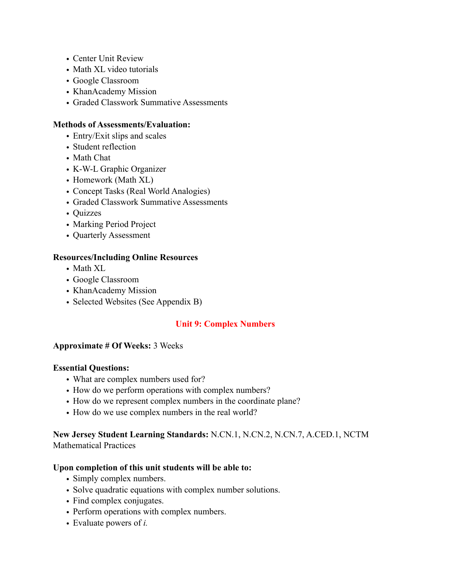- Center Unit Review
- Math XL video tutorials
- Google Classroom
- KhanAcademy Mission
- Graded Classwork Summative Assessments

### **Methods of Assessments/Evaluation:**

- Entry/Exit slips and scales
- Student reflection
- Math Chat
- K-W-L Graphic Organizer
- Homework (Math XL)
- Concept Tasks (Real World Analogies)
- Graded Classwork Summative Assessments
- Quizzes
- Marking Period Project
- Quarterly Assessment

#### **Resources/Including Online Resources**

- Math XL
- Google Classroom
- KhanAcademy Mission
- Selected Websites (See Appendix B)

### **Unit 9: Complex Numbers**

### **Approximate # Of Weeks:** 3 Weeks

### **Essential Questions:**

- What are complex numbers used for?
- How do we perform operations with complex numbers?
- How do we represent complex numbers in the coordinate plane?
- How do we use complex numbers in the real world?

# **New Jersey Student Learning Standards:** N.CN.1, N.CN.2, N.CN.7, A.CED.1, NCTM Mathematical Practices

### **Upon completion of this unit students will be able to:**

- Simply complex numbers.
- Solve quadratic equations with complex number solutions.
- Find complex conjugates.
- Perform operations with complex numbers.
- Evaluate powers of *i.*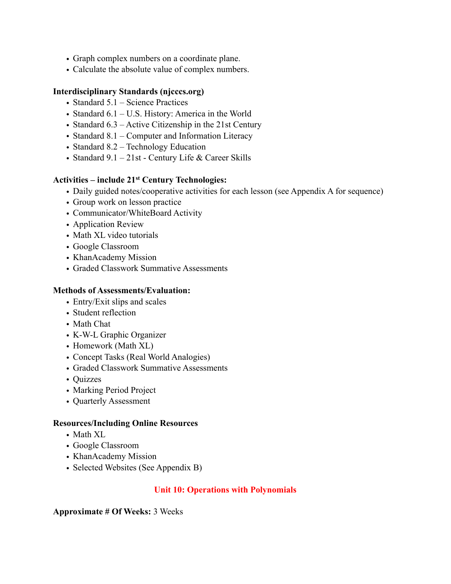- Graph complex numbers on a coordinate plane.
- Calculate the absolute value of complex numbers.

### **Interdisciplinary Standards (njcccs.org)**

- Standard 5.1 Science Practices
- Standard 6.1 U.S. History: America in the World
- Standard 6.3 Active Citizenship in the 21st Century
- Standard 8.1 Computer and Information Literacy
- Standard 8.2 Technology Education
- Standard 9.1 21st Century Life & Career Skills

### **Activities – include 21st Century Technologies:**

- Daily guided notes/cooperative activities for each lesson (see Appendix A for sequence)
- Group work on lesson practice
- Communicator/WhiteBoard Activity
- Application Review
- Math XL video tutorials
- Google Classroom
- KhanAcademy Mission
- Graded Classwork Summative Assessments

#### **Methods of Assessments/Evaluation:**

- Entry/Exit slips and scales
- Student reflection
- Math Chat
- K-W-L Graphic Organizer
- Homework (Math XL)
- Concept Tasks (Real World Analogies)
- Graded Classwork Summative Assessments
- Quizzes
- Marking Period Project
- Quarterly Assessment

### **Resources/Including Online Resources**

- Math XL
- Google Classroom
- KhanAcademy Mission
- Selected Websites (See Appendix B)

# **Unit 10: Operations with Polynomials**

### **Approximate # Of Weeks:** 3 Weeks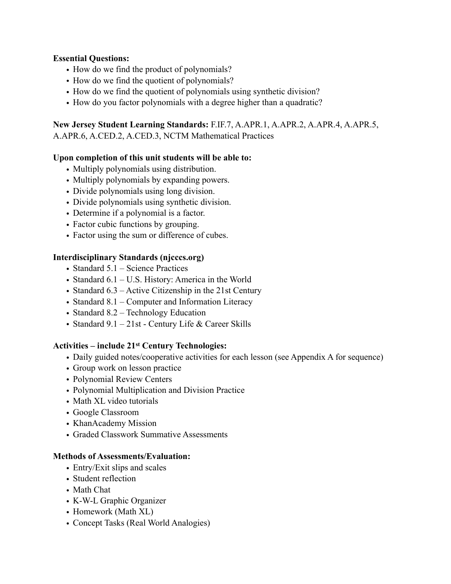## **Essential Questions:**

- How do we find the product of polynomials?
- How do we find the quotient of polynomials?
- How do we find the quotient of polynomials using synthetic division?
- How do you factor polynomials with a degree higher than a quadratic?

# **New Jersey Student Learning Standards:** F.IF.7, A.APR.1, A.APR.2, A.APR.4, A.APR.5,

A.APR.6, A.CED.2, A.CED.3, NCTM Mathematical Practices

# **Upon completion of this unit students will be able to:**

- Multiply polynomials using distribution.
- Multiply polynomials by expanding powers.
- Divide polynomials using long division.
- Divide polynomials using synthetic division.
- Determine if a polynomial is a factor.
- Factor cubic functions by grouping.
- Factor using the sum or difference of cubes.

# **Interdisciplinary Standards (njcccs.org)**

- Standard 5.1 Science Practices
- Standard 6.1 U.S. History: America in the World
- Standard 6.3 Active Citizenship in the 21st Century
- Standard 8.1 Computer and Information Literacy
- Standard 8.2 Technology Education
- Standard  $9.1 21$ st Century Life & Career Skills

# **Activities – include 21st Century Technologies:**

- Daily guided notes/cooperative activities for each lesson (see Appendix A for sequence)
- Group work on lesson practice
- Polynomial Review Centers
- Polynomial Multiplication and Division Practice
- Math XL video tutorials
- Google Classroom
- KhanAcademy Mission
- Graded Classwork Summative Assessments

# **Methods of Assessments/Evaluation:**

- Entry/Exit slips and scales
- Student reflection
- Math Chat
- K-W-L Graphic Organizer
- Homework (Math XL)
- Concept Tasks (Real World Analogies)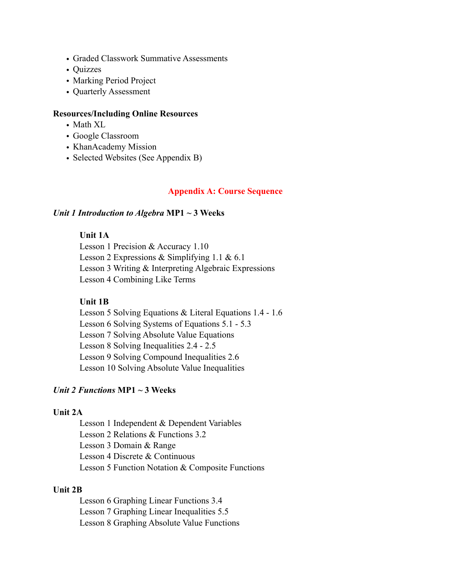- Graded Classwork Summative Assessments
- Quizzes
- Marking Period Project
- Quarterly Assessment

### **Resources/Including Online Resources**

- Math XL
- Google Classroom
- KhanAcademy Mission
- Selected Websites (See Appendix B)

#### **Appendix A: Course Sequence**

#### *Unit 1 Introduction to Algebra* **MP1 ~ 3 Weeks**

### **Unit 1A**

 Lesson 1 Precision & Accuracy 1.10 Lesson 2 Expressions & Simplifying 1.1 & 6.1 Lesson 3 Writing & Interpreting Algebraic Expressions Lesson 4 Combining Like Terms

#### **Unit 1B**

 Lesson 5 Solving Equations & Literal Equations 1.4 - 1.6 Lesson 6 Solving Systems of Equations 5.1 - 5.3 Lesson 7 Solving Absolute Value Equations Lesson 8 Solving Inequalities 2.4 - 2.5 Lesson 9 Solving Compound Inequalities 2.6 Lesson 10 Solving Absolute Value Inequalities

### *Unit 2 Functions* **MP1 ~ 3 Weeks**

### **Unit 2A**

 Lesson 1 Independent & Dependent Variables Lesson 2 Relations & Functions 3.2 Lesson 3 Domain & Range Lesson 4 Discrete & Continuous Lesson 5 Function Notation & Composite Functions

#### **Unit 2B**

 Lesson 6 Graphing Linear Functions 3.4 Lesson 7 Graphing Linear Inequalities 5.5 Lesson 8 Graphing Absolute Value Functions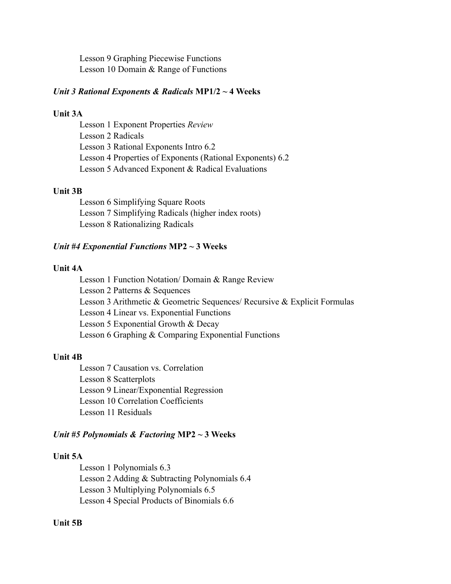Lesson 9 Graphing Piecewise Functions Lesson 10 Domain & Range of Functions

#### *Unit 3 Rational Exponents & Radicals* **MP1/2 ~ 4 Weeks**

### **Unit 3A**

 Lesson 1 Exponent Properties *Review*  Lesson 2 Radicals Lesson 3 Rational Exponents Intro 6.2 Lesson 4 Properties of Exponents (Rational Exponents) 6.2 Lesson 5 Advanced Exponent & Radical Evaluations

#### **Unit 3B**

 Lesson 6 Simplifying Square Roots Lesson 7 Simplifying Radicals (higher index roots) Lesson 8 Rationalizing Radicals

#### *Unit #4 Exponential Functions* **MP2 ~ 3 Weeks**

#### **Unit 4A**

 Lesson 1 Function Notation/ Domain & Range Review Lesson 2 Patterns & Sequences Lesson 3 Arithmetic & Geometric Sequences/ Recursive & Explicit Formulas Lesson 4 Linear vs. Exponential Functions Lesson 5 Exponential Growth & Decay Lesson 6 Graphing & Comparing Exponential Functions

#### **Unit 4B**

 Lesson 7 Causation vs. Correlation Lesson 8 Scatterplots Lesson 9 Linear/Exponential Regression Lesson 10 Correlation Coefficients Lesson 11 Residuals

#### *Unit #5 Polynomials & Factoring* **MP2 ~ 3 Weeks**

#### **Unit 5A**

 Lesson 1 Polynomials 6.3 Lesson 2 Adding & Subtracting Polynomials 6.4 Lesson 3 Multiplying Polynomials 6.5 Lesson 4 Special Products of Binomials 6.6

### **Unit 5B**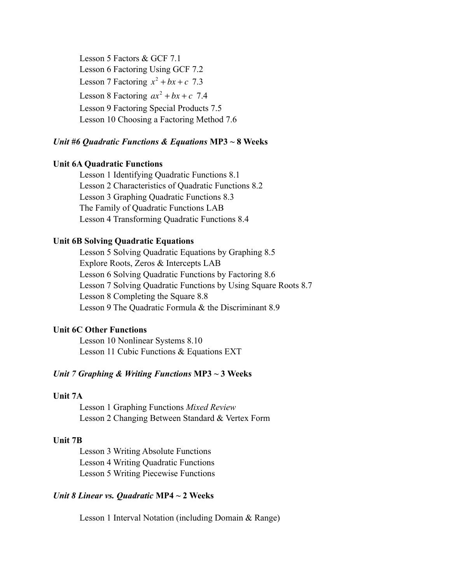Lesson 5 Factors & GCF 7.1 Lesson 6 Factoring Using GCF 7.2 Lesson 7 Factoring  $x^2 + bx + c$  7.3 Lesson 8 Factoring  $ax^2 + bx + c$  7.4 Lesson 9 Factoring Special Products 7.5 Lesson 10 Choosing a Factoring Method 7.6

#### *Unit #6 Quadratic Functions & Equations* **MP3 ~ 8 Weeks**

#### **Unit 6A Quadratic Functions**

 Lesson 1 Identifying Quadratic Functions 8.1 Lesson 2 Characteristics of Quadratic Functions 8.2 Lesson 3 Graphing Quadratic Functions 8.3 The Family of Quadratic Functions LAB Lesson 4 Transforming Quadratic Functions 8.4

#### **Unit 6B Solving Quadratic Equations**

Lesson 5 Solving Quadratic Equations by Graphing 8.5 Explore Roots, Zeros & Intercepts LAB Lesson 6 Solving Quadratic Functions by Factoring 8.6 Lesson 7 Solving Quadratic Functions by Using Square Roots 8.7 Lesson 8 Completing the Square 8.8 Lesson 9 The Quadratic Formula & the Discriminant 8.9

#### **Unit 6C Other Functions**

Lesson 10 Nonlinear Systems 8.10 Lesson 11 Cubic Functions & Equations EXT

#### *Unit 7 Graphing & Writing Functions* **MP3 ~ 3 Weeks**

#### **Unit 7A**

 Lesson 1 Graphing Functions *Mixed Review* Lesson 2 Changing Between Standard & Vertex Form

#### **Unit 7B**

 Lesson 3 Writing Absolute Functions Lesson 4 Writing Quadratic Functions Lesson 5 Writing Piecewise Functions

#### *Unit 8 Linear vs. Quadratic* **MP4 ~ 2 Weeks**

Lesson 1 Interval Notation (including Domain & Range)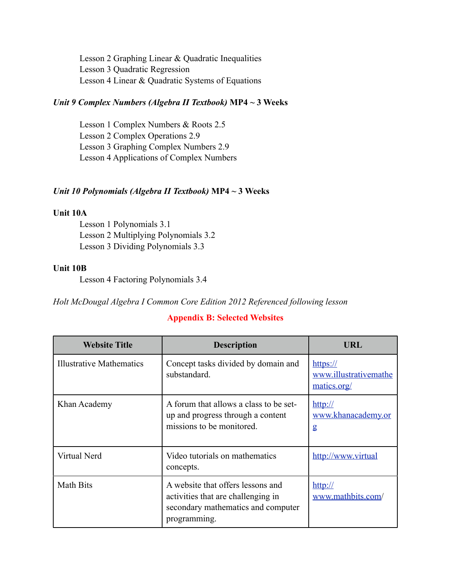Lesson 2 Graphing Linear & Quadratic Inequalities Lesson 3 Quadratic Regression Lesson 4 Linear & Quadratic Systems of Equations

### *Unit 9 Complex Numbers (Algebra II Textbook)* **MP4 ~ 3 Weeks**

 Lesson 1 Complex Numbers & Roots 2.5 Lesson 2 Complex Operations 2.9 Lesson 3 Graphing Complex Numbers 2.9 Lesson 4 Applications of Complex Numbers

### *Unit 10 Polynomials (Algebra II Textbook)* **MP4 ~ 3 Weeks**

#### **Unit 10A**

 Lesson 1 Polynomials 3.1 Lesson 2 Multiplying Polynomials 3.2 Lesson 3 Dividing Polynomials 3.3

### **Unit 10B**

Lesson 4 Factoring Polynomials 3.4

*Holt McDougal Algebra I Common Core Edition 2012 Referenced following lesson*

### **Appendix B: Selected Websites**

| <b>Website Title</b>     | <b>Description</b>                                                                                                            | URL                                                        |
|--------------------------|-------------------------------------------------------------------------------------------------------------------------------|------------------------------------------------------------|
| Illustrative Mathematics | Concept tasks divided by domain and<br>substandard.                                                                           | $\frac{https://}{$<br>www.illustrativemathe<br>matics.org/ |
| Khan Academy             | A forum that allows a class to be set-<br>up and progress through a content<br>missions to be monitored.                      | $\frac{http://}{$<br>www.khanacademy.or<br>g               |
| Virtual Nerd             | Video tutorials on mathematics<br>concepts.                                                                                   | http://www.virtual                                         |
| <b>Math Bits</b>         | A website that offers lessons and<br>activities that are challenging in<br>secondary mathematics and computer<br>programming. | $\frac{http://}{$<br>www.mathbits.com/                     |